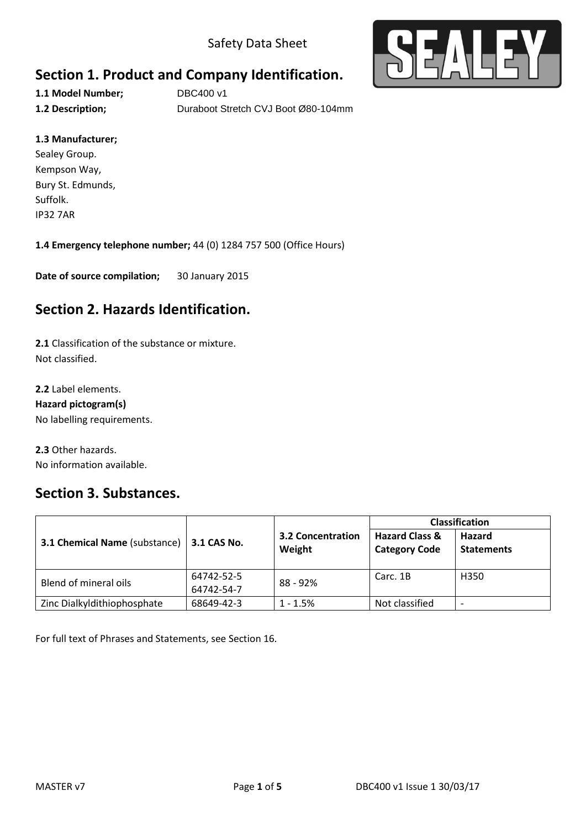Safety Data Sheet



# **Section 1. Product and Company Identification.**

**1.1 Model Number;** DBC400 v1 **1.2 Description;** Duraboot Stretch CVJ Boot Ø80-104mm

#### **1.3 Manufacturer;**

Sealey Group. Kempson Way, Bury St. Edmunds, Suffolk. IP32 7AR

**1.4 Emergency telephone number;** 44 (0) 1284 757 500 (Office Hours)

**Date of source compilation;** 30 January 2015

## **Section 2. Hazards Identification.**

**2.1** Classification of the substance or mixture. Not classified.

**2.2** Label elements. **Hazard pictogram(s)** No labelling requirements.

**2.3** Other hazards. No information available.

### **Section 3. Substances.**

| <b>3.1 Chemical Name (substance)</b> | 3.1 CAS No.              | <b>3.2 Concentration</b><br>Weight | <b>Classification</b>                             |                             |
|--------------------------------------|--------------------------|------------------------------------|---------------------------------------------------|-----------------------------|
|                                      |                          |                                    | <b>Hazard Class &amp;</b><br><b>Category Code</b> | Hazard<br><b>Statements</b> |
| Blend of mineral oils                | 64742-52-5<br>64742-54-7 | 88 - 92%                           | Carc. 1B                                          | H350                        |
| Zinc Dialkyldithiophosphate          | 68649-42-3               | $1 - 1.5%$                         | Not classified                                    | -                           |

For full text of Phrases and Statements, see Section 16.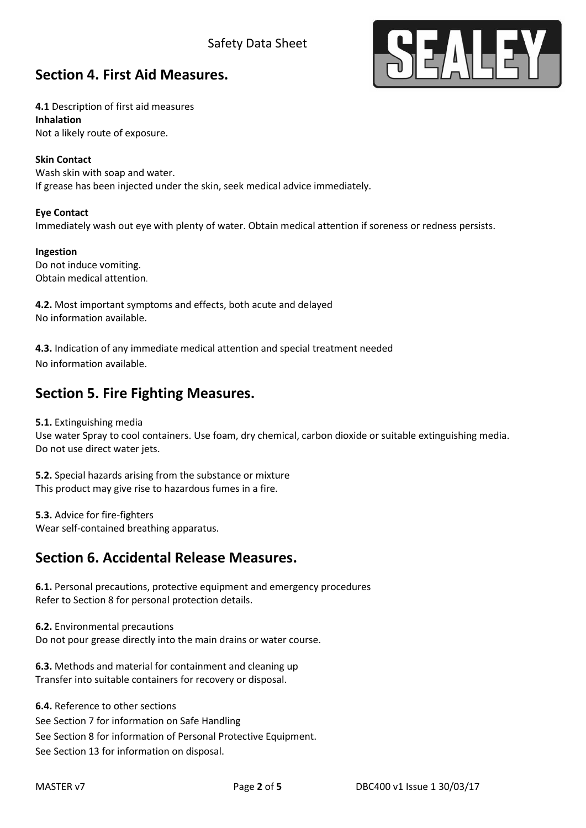### Safety Data Sheet



### **Section 4. First Aid Measures.**

**4.1** Description of first aid measures **Inhalation** Not a likely route of exposure.

#### **Skin Contact**

Wash skin with soap and water. If grease has been injected under the skin, seek medical advice immediately.

#### **Eye Contact**

Immediately wash out eye with plenty of water. Obtain medical attention if soreness or redness persists.

**Ingestion** Do not induce vomiting. Obtain medical attention.

**4.2.** Most important symptoms and effects, both acute and delayed No information available.

**4.3.** Indication of any immediate medical attention and special treatment needed No information available.

### **Section 5. Fire Fighting Measures.**

**5.1.** Extinguishing media

Use water Spray to cool containers. Use foam, dry chemical, carbon dioxide or suitable extinguishing media. Do not use direct water jets.

**5.2.** Special hazards arising from the substance or mixture This product may give rise to hazardous fumes in a fire.

**5.3.** Advice for fire-fighters Wear self-contained breathing apparatus.

### **Section 6. Accidental Release Measures.**

**6.1.** Personal precautions, protective equipment and emergency procedures Refer to Section 8 for personal protection details.

**6.2.** Environmental precautions Do not pour grease directly into the main drains or water course.

**6.3.** Methods and material for containment and cleaning up Transfer into suitable containers for recovery or disposal.

**6.4.** Reference to other sections See Section 7 for information on Safe Handling See Section 8 for information of Personal Protective Equipment. See Section 13 for information on disposal.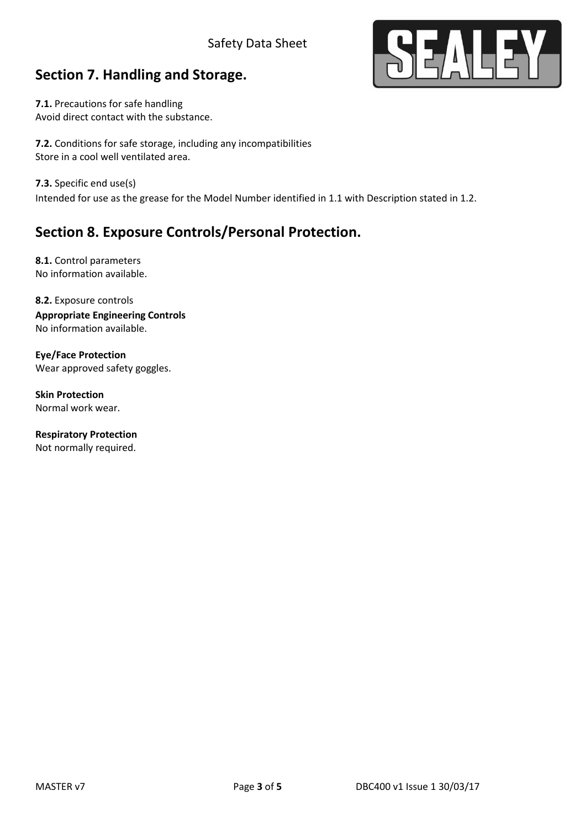#### Safety Data Sheet

# **Section 7. Handling and Storage.**

**7.1.** Precautions for safe handling Avoid direct contact with the substance.

**7.2.** Conditions for safe storage, including any incompatibilities Store in a cool well ventilated area.

**7.3.** Specific end use(s)

Intended for use as the grease for the Model Number identified in 1.1 with Description stated in 1.2.

# **Section 8. Exposure Controls/Personal Protection.**

**8.1.** Control parameters No information available.

**8.2.** Exposure controls **Appropriate Engineering Controls**  No information available.

**Eye/Face Protection** Wear approved safety goggles.

**Skin Protection** Normal work wear.

**Respiratory Protection** Not normally required.

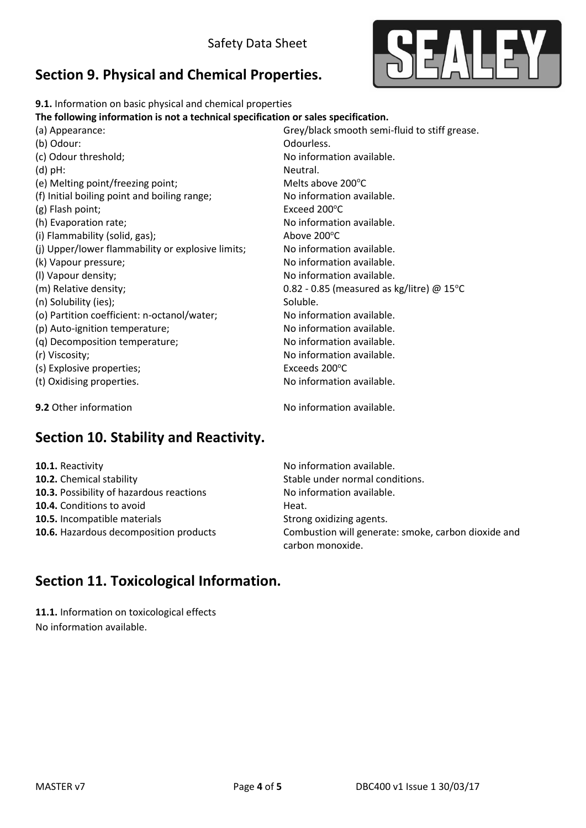

# **Section 9. Physical and Chemical Properties.**

| 9.1. Information on basic physical and chemical properties                         |                                                     |  |
|------------------------------------------------------------------------------------|-----------------------------------------------------|--|
| The following information is not a technical specification or sales specification. |                                                     |  |
| (a) Appearance:                                                                    | Grey/black smooth semi-fluid to stiff grease.       |  |
| (b) Odour:                                                                         | Odourless.                                          |  |
| (c) Odour threshold;                                                               | No information available.                           |  |
| $(d)$ pH:                                                                          | Neutral.                                            |  |
| (e) Melting point/freezing point;                                                  | Melts above 200°C                                   |  |
| (f) Initial boiling point and boiling range;                                       | No information available.                           |  |
| (g) Flash point;                                                                   | Exceed 200°C                                        |  |
| (h) Evaporation rate;                                                              | No information available.                           |  |
| (i) Flammability (solid, gas);                                                     | Above 200°C                                         |  |
| (j) Upper/lower flammability or explosive limits;                                  | No information available.                           |  |
| (k) Vapour pressure;                                                               | No information available.                           |  |
| (I) Vapour density;                                                                | No information available.                           |  |
| (m) Relative density;                                                              | 0.82 - 0.85 (measured as kg/litre) @ $15^{\circ}$ C |  |
| (n) Solubility (ies);                                                              | Soluble.                                            |  |
| (o) Partition coefficient: n-octanol/water;                                        | No information available.                           |  |
| (p) Auto-ignition temperature;                                                     | No information available.                           |  |
| (q) Decomposition temperature;                                                     | No information available.                           |  |
| (r) Viscosity;                                                                     | No information available.                           |  |
| (s) Explosive properties;                                                          | Exceeds 200°C                                       |  |
| (t) Oxidising properties.                                                          | No information available.                           |  |
| 9.2 Other information                                                              | No information available.                           |  |

# **Section 10. Stability and Reactivity.**

| 10.1. Reactivity                         | No information available.                                               |  |
|------------------------------------------|-------------------------------------------------------------------------|--|
| 10.2. Chemical stability                 | Stable under normal conditions.                                         |  |
| 10.3. Possibility of hazardous reactions | No information available.                                               |  |
| 10.4. Conditions to avoid                | Heat.                                                                   |  |
| <b>10.5.</b> Incompatible materials      | Strong oxidizing agents.                                                |  |
| 10.6. Hazardous decomposition products   | Combustion will generate: smoke, carbon dioxide and<br>carbon monoxide. |  |

# **Section 11. Toxicological Information.**

**11.1.** Information on toxicological effects No information available.